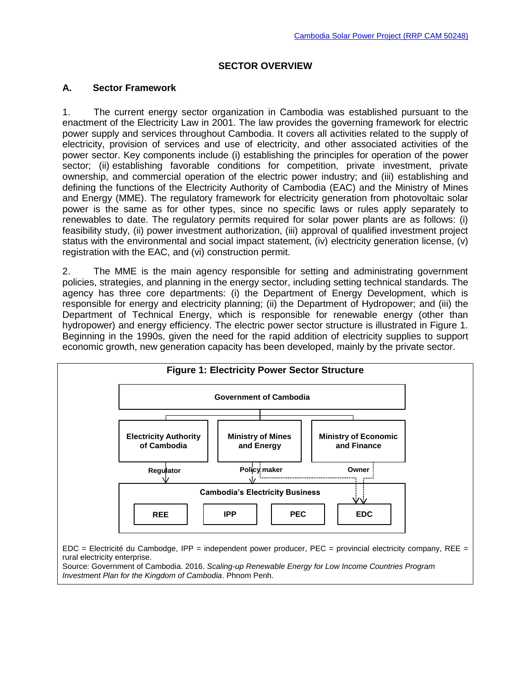### **SECTOR OVERVIEW**

#### **A. Sector Framework**

1. The current energy sector organization in Cambodia was established pursuant to the enactment of the Electricity Law in 2001. The law provides the governing framework for electric power supply and services throughout Cambodia. It covers all activities related to the supply of electricity, provision of services and use of electricity, and other associated activities of the power sector. Key components include (i) establishing the principles for operation of the power sector; (ii) establishing favorable conditions for competition, private investment, private ownership, and commercial operation of the electric power industry; and (iii) establishing and defining the functions of the Electricity Authority of Cambodia (EAC) and the Ministry of Mines and Energy (MME). The regulatory framework for electricity generation from photovoltaic solar power is the same as for other types, since no specific laws or rules apply separately to renewables to date. The regulatory permits required for solar power plants are as follows: (i) feasibility study, (ii) power investment authorization, (iii) approval of qualified investment project status with the environmental and social impact statement, (iv) electricity generation license, (v) registration with the EAC, and (vi) construction permit.

2. The MME is the main agency responsible for setting and administrating government policies, strategies, and planning in the energy sector, including setting technical standards. The agency has three core departments: (i) the Department of Energy Development, which is responsible for energy and electricity planning; (ii) the Department of Hydropower; and (iii) the Department of Technical Energy, which is responsible for renewable energy (other than hydropower) and energy efficiency. The electric power sector structure is illustrated in Figure 1. Beginning in the 1990s, given the need for the rapid addition of electricity supplies to support economic growth, new generation capacity has been developed, mainly by the private sector.

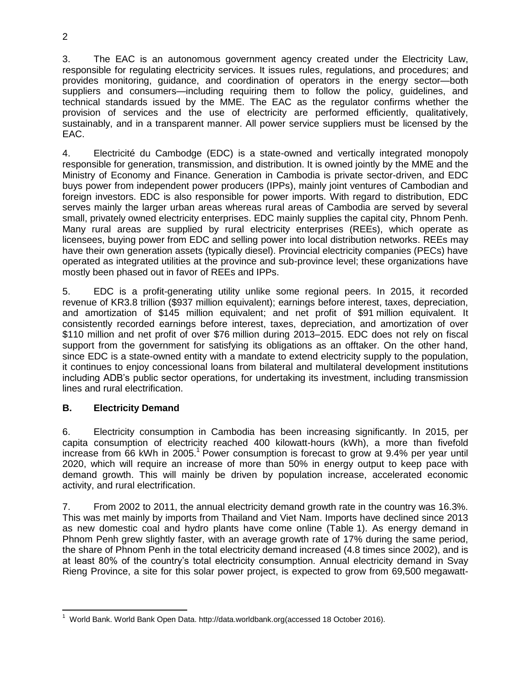3. The EAC is an autonomous government agency created under the Electricity Law, responsible for regulating electricity services. It issues rules, regulations, and procedures; and provides monitoring, guidance, and coordination of operators in the energy sector—both suppliers and consumers—including requiring them to follow the policy, guidelines, and technical standards issued by the MME. The EAC as the regulator confirms whether the provision of services and the use of electricity are performed efficiently, qualitatively, sustainably, and in a transparent manner. All power service suppliers must be licensed by the EAC.

4. Electricité du Cambodge (EDC) is a state-owned and vertically integrated monopoly responsible for generation, transmission, and distribution. It is owned jointly by the MME and the Ministry of Economy and Finance. Generation in Cambodia is private sector-driven, and EDC buys power from independent power producers (IPPs), mainly joint ventures of Cambodian and foreign investors. EDC is also responsible for power imports. With regard to distribution, EDC serves mainly the larger urban areas whereas rural areas of Cambodia are served by several small, privately owned electricity enterprises. EDC mainly supplies the capital city, Phnom Penh. Many rural areas are supplied by rural electricity enterprises (REEs), which operate as licensees, buying power from EDC and selling power into local distribution networks. REEs may have their own generation assets (typically diesel). Provincial electricity companies (PECs) have operated as integrated utilities at the province and sub-province level; these organizations have mostly been phased out in favor of REEs and IPPs.

5. EDC is a profit-generating utility unlike some regional peers. In 2015, it recorded revenue of KR3.8 trillion (\$937 million equivalent); earnings before interest, taxes, depreciation, and amortization of \$145 million equivalent; and net profit of \$91 million equivalent. It consistently recorded earnings before interest, taxes, depreciation, and amortization of over \$110 million and net profit of over \$76 million during 2013–2015. EDC does not rely on fiscal support from the government for satisfying its obligations as an offtaker. On the other hand, since EDC is a state-owned entity with a mandate to extend electricity supply to the population, it continues to enjoy concessional loans from bilateral and multilateral development institutions including ADB's public sector operations, for undertaking its investment, including transmission lines and rural electrification.

# **B. Electricity Demand**

6. Electricity consumption in Cambodia has been increasing significantly. In 2015, per capita consumption of electricity reached 400 kilowatt-hours (kWh), a more than fivefold increase from 66 kWh in 2005.<sup>1</sup> Power consumption is forecast to grow at 9.4% per year until 2020, which will require an increase of more than 50% in energy output to keep pace with demand growth. This will mainly be driven by population increase, accelerated economic activity, and rural electrification.

7. From 2002 to 2011, the annual electricity demand growth rate in the country was 16.3%. This was met mainly by imports from Thailand and Viet Nam. Imports have declined since 2013 as new domestic coal and hydro plants have come online (Table 1). As energy demand in Phnom Penh grew slightly faster, with an average growth rate of 17% during the same period, the share of Phnom Penh in the total electricity demand increased (4.8 times since 2002), and is at least 80% of the country's total electricity consumption. Annual electricity demand in Svay Rieng Province, a site for this solar power project, is expected to grow from 69,500 megawatt-

 1 World Bank. World Bank Open Data. http://data.worldbank.org(accessed 18 October 2016).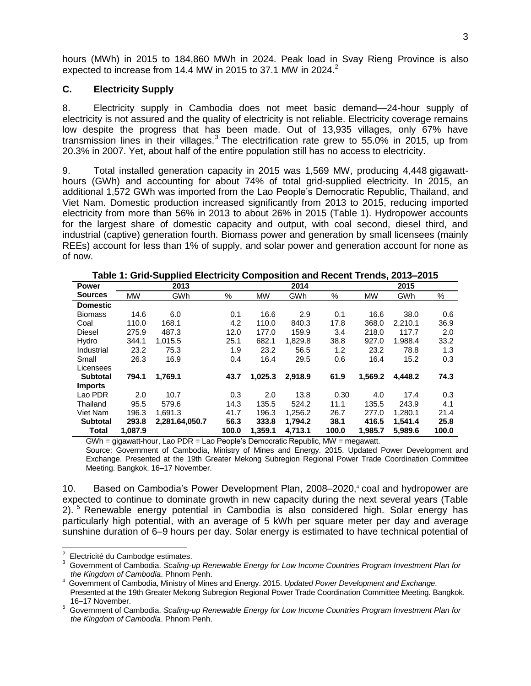hours (MWh) in 2015 to 184,860 MWh in 2024. Peak load in Svay Rieng Province is also expected to increase from 14.4 MW in 2015 to 37.1 MW in 2024.<sup>2</sup>

#### **C. Electricity Supply**

8. Electricity supply in Cambodia does not meet basic demand—24-hour supply of electricity is not assured and the quality of electricity is not reliable. Electricity coverage remains low despite the progress that has been made. Out of 13,935 villages, only 67% have transmission lines in their villages.<sup>3</sup> The electrification rate grew to 55.0% in 2015, up from 20.3% in 2007. Yet, about half of the entire population still has no access to electricity.

9. Total installed generation capacity in 2015 was 1,569 MW, producing 4,448 gigawatthours (GWh) and accounting for about 74% of total grid-supplied electricity. In 2015, an additional 1,572 GWh was imported from the Lao People's Democratic Republic, Thailand, and Viet Nam. Domestic production increased significantly from 2013 to 2015, reducing imported electricity from more than 56% in 2013 to about 26% in 2015 (Table 1). Hydropower accounts for the largest share of domestic capacity and output, with coal second, diesel third, and industrial (captive) generation fourth. Biomass power and generation by small licensees (mainly REEs) account for less than 1% of supply, and solar power and generation account for none as of now.

| <b>Power</b>    |           | 2013                                                                                                                                                                                                                                                                                                                                                                             |       |           | 2014    |                 |           | 2015    |       |
|-----------------|-----------|----------------------------------------------------------------------------------------------------------------------------------------------------------------------------------------------------------------------------------------------------------------------------------------------------------------------------------------------------------------------------------|-------|-----------|---------|-----------------|-----------|---------|-------|
| <b>Sources</b>  | <b>MW</b> | GWh                                                                                                                                                                                                                                                                                                                                                                              | $\%$  | <b>MW</b> | GWh     | $\%$            | <b>MW</b> | GWh     | %     |
| <b>Domestic</b> |           |                                                                                                                                                                                                                                                                                                                                                                                  |       |           |         |                 |           |         |       |
| <b>Biomass</b>  | 14.6      | 6.0                                                                                                                                                                                                                                                                                                                                                                              | 0.1   | 16.6      | 2.9     | 0.1             | 16.6      | 38.0    | 0.6   |
| Coal            | 110.0     | 168.1                                                                                                                                                                                                                                                                                                                                                                            | 4.2   | 110.0     | 840.3   | 17.8            | 368.0     | 2.210.1 | 36.9  |
| Diesel          | 275.9     | 487.3                                                                                                                                                                                                                                                                                                                                                                            | 12.0  | 177.0     | 159.9   | 3.4             | 218.0     | 117.7   | 2.0   |
| Hydro           | 344.1     | 1.015.5                                                                                                                                                                                                                                                                                                                                                                          | 25.1  | 682.1     | 1.829.8 | 38.8            | 927.0     | 1.988.4 | 33.2  |
| Industrial      | 23.2      | 75.3                                                                                                                                                                                                                                                                                                                                                                             | 1.9   | 23.2      | 56.5    | 1.2             | 23.2      | 78.8    | 1.3   |
| Small           | 26.3      | 16.9                                                                                                                                                                                                                                                                                                                                                                             | 0.4   | 16.4      | 29.5    | 0.6             | 16.4      | 15.2    | 0.3   |
| Licensees       |           |                                                                                                                                                                                                                                                                                                                                                                                  |       |           |         |                 |           |         |       |
| <b>Subtotal</b> | 794.1     | 1,769.1                                                                                                                                                                                                                                                                                                                                                                          | 43.7  | 1,025.3   | 2,918.9 | 61.9            | 1,569.2   | 4.448.2 | 74.3  |
| <b>Imports</b>  |           |                                                                                                                                                                                                                                                                                                                                                                                  |       |           |         |                 |           |         |       |
| Lao PDR         | 2.0       | 10.7                                                                                                                                                                                                                                                                                                                                                                             | 0.3   | 2.0       | 13.8    | 0.30            | 4.0       | 17.4    | 0.3   |
| Thailand        | 95.5      | 579.6                                                                                                                                                                                                                                                                                                                                                                            | 14.3  | 135.5     | 524.2   | 11.1            | 135.5     | 243.9   | 4.1   |
| Viet Nam        | 196.3     | 1.691.3                                                                                                                                                                                                                                                                                                                                                                          | 41.7  | 196.3     | 1.256.2 | 26.7            | 277.0     | 1.280.1 | 21.4  |
| <b>Subtotal</b> | 293.8     | 2.281.64.050.7                                                                                                                                                                                                                                                                                                                                                                   | 56.3  | 333.8     | 1.794.2 | 38.1            | 416.5     | 1.541.4 | 25.8  |
| <b>Total</b>    | 1.087.9   |                                                                                                                                                                                                                                                                                                                                                                                  | 100.0 | 1.359.1   | 4.713.1 | 100.0           | 1,985.7   | 5.989.6 | 100.0 |
| $\sim$          |           | $\mathbf{r} = \mathbf{r} \cdot \mathbf{r} + \mathbf{r} \cdot \mathbf{r}$ , and $\mathbf{r} = \mathbf{r} \cdot \mathbf{r}$ , and $\mathbf{r} = \mathbf{r} \cdot \mathbf{r}$ , and $\mathbf{r} = \mathbf{r} \cdot \mathbf{r}$ , and $\mathbf{r} = \mathbf{r} \cdot \mathbf{r}$ , and $\mathbf{r} = \mathbf{r} \cdot \mathbf{r}$ , and $\mathbf{r} = \mathbf{r} \cdot \mathbf{r}$ , |       |           |         | <b>B 81 A /</b> |           |         |       |

**Table 1: Grid-Supplied Electricity Composition and Recent Trends, 2013–2015**

 $GWh =$  gigawatt-hour, Lao PDR = Lao People's Democratic Republic, MW = megawatt.

Source: Government of Cambodia, Ministry of Mines and Energy. 2015. Updated Power Development and Exchange. Presented at the 19th Greater Mekong Subregion Regional Power Trade Coordination Committee Meeting. Bangkok. 16–17 November.

10. Based on Cambodia's Power Development Plan, 2008–2020,<sup>4</sup> coal and hydropower are expected to continue to dominate growth in new capacity during the next several years (Table 2). <sup>5</sup> Renewable energy potential in Cambodia is also considered high. Solar energy has particularly high potential, with an average of 5 kWh per square meter per day and average sunshine duration of 6–9 hours per day. Solar energy is estimated to have technical potential of

en annul compose de la maisse de l'alien de l'alien de l'alien de l'alien de l'alien de l'alien de l'alien de<br>Le chient de la maisse de l'alien de l'alien de l'alien de l'alien de l'alien de l'alien de l'alien de l'alien

<sup>3</sup> Government of Cambodia. *Scaling-up Renewable Energy for Low Income Countries Program Investment Plan for the Kingdom of Cambodia*. Phnom Penh.

<sup>4</sup> Government of Cambodia, Ministry of Mines and Energy. 2015. *Updated Power Development and Exchange*. Presented at the 19th Greater Mekong Subregion Regional Power Trade Coordination Committee Meeting. Bangkok. 16–17 November.

<sup>5</sup> Government of Cambodia. *Scaling-up Renewable Energy for Low Income Countries Program Investment Plan for the Kingdom of Cambodia*. Phnom Penh.